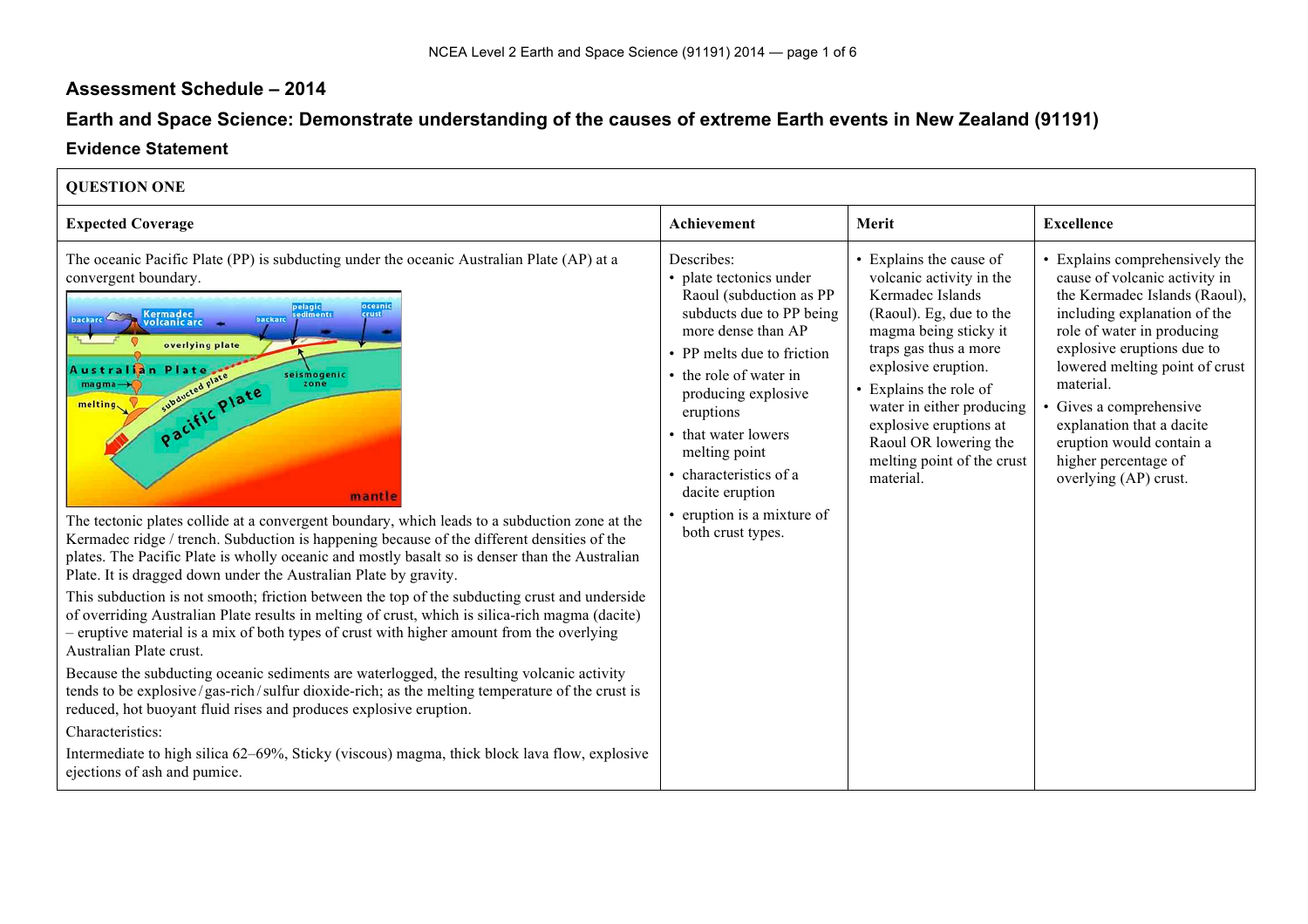## **Assessment Schedule – 2014**

## **Earth and Space Science: Demonstrate understanding of the causes of extreme Earth events in New Zealand (91191)**

## **Evidence Statement**

 $\Gamma$ 

| <b>QUESTION ONE</b>                                                                                                                                                                                                                                                                                                                                                                                                                                                                                                                                                                                                                                                                                                                                                                                                                                                                                                                                                                                                                                                                                                                                                                                                                                                                                                                                                                                                                                                                           |                                                                                                                                                                                                                                                                                                                                                      |                                                                                                                                                                                                                                                                                                                                  |                                                                                                                                                                                                                                                                                                                                                                              |
|-----------------------------------------------------------------------------------------------------------------------------------------------------------------------------------------------------------------------------------------------------------------------------------------------------------------------------------------------------------------------------------------------------------------------------------------------------------------------------------------------------------------------------------------------------------------------------------------------------------------------------------------------------------------------------------------------------------------------------------------------------------------------------------------------------------------------------------------------------------------------------------------------------------------------------------------------------------------------------------------------------------------------------------------------------------------------------------------------------------------------------------------------------------------------------------------------------------------------------------------------------------------------------------------------------------------------------------------------------------------------------------------------------------------------------------------------------------------------------------------------|------------------------------------------------------------------------------------------------------------------------------------------------------------------------------------------------------------------------------------------------------------------------------------------------------------------------------------------------------|----------------------------------------------------------------------------------------------------------------------------------------------------------------------------------------------------------------------------------------------------------------------------------------------------------------------------------|------------------------------------------------------------------------------------------------------------------------------------------------------------------------------------------------------------------------------------------------------------------------------------------------------------------------------------------------------------------------------|
| <b>Expected Coverage</b>                                                                                                                                                                                                                                                                                                                                                                                                                                                                                                                                                                                                                                                                                                                                                                                                                                                                                                                                                                                                                                                                                                                                                                                                                                                                                                                                                                                                                                                                      | Achievement                                                                                                                                                                                                                                                                                                                                          | Merit                                                                                                                                                                                                                                                                                                                            | <b>Excellence</b>                                                                                                                                                                                                                                                                                                                                                            |
| The oceanic Pacific Plate (PP) is subducting under the oceanic Australian Plate (AP) at a<br>convergent boundary.<br>oceanic<br>pelagic<br>sediments<br><b>Kermadec</b><br>crust<br><b>backard</b><br>backard<br>volcanic arc<br>overlying plate<br>Plat<br><b>\ustra</b> l<br>seismogenic<br>subducted plate<br>magma<br>zone<br>Pacific Plate<br>melting<br>mantle<br>The tectonic plates collide at a convergent boundary, which leads to a subduction zone at the<br>Kermadec ridge / trench. Subduction is happening because of the different densities of the<br>plates. The Pacific Plate is wholly oceanic and mostly basalt so is denser than the Australian<br>Plate. It is dragged down under the Australian Plate by gravity.<br>This subduction is not smooth; friction between the top of the subducting crust and underside<br>of overriding Australian Plate results in melting of crust, which is silica-rich magma (dacite)<br>- eruptive material is a mix of both types of crust with higher amount from the overlying<br>Australian Plate crust.<br>Because the subducting oceanic sediments are waterlogged, the resulting volcanic activity<br>tends to be explosive/gas-rich/sulfur dioxide-rich; as the melting temperature of the crust is<br>reduced, hot buoyant fluid rises and produces explosive eruption.<br>Characteristics:<br>Intermediate to high silica 62–69%, Sticky (viscous) magma, thick block lava flow, explosive<br>ejections of ash and pumice. | Describes:<br>• plate tectonics under<br>Raoul (subduction as PP<br>subducts due to PP being<br>more dense than AP<br>• PP melts due to friction<br>• the role of water in<br>producing explosive<br>eruptions<br>• that water lowers<br>melting point<br>• characteristics of a<br>dacite eruption<br>eruption is a mixture of<br>both crust types. | • Explains the cause of<br>volcanic activity in the<br>Kermadec Islands<br>(Raoul). Eg, due to the<br>magma being sticky it<br>traps gas thus a more<br>explosive eruption.<br>• Explains the role of<br>water in either producing<br>explosive eruptions at<br>Raoul OR lowering the<br>melting point of the crust<br>material. | Explains comprehensively the<br>cause of volcanic activity in<br>the Kermadec Islands (Raoul),<br>including explanation of the<br>role of water in producing<br>explosive eruptions due to<br>lowered melting point of crust<br>material.<br>Gives a comprehensive<br>explanation that a dacite<br>eruption would contain a<br>higher percentage of<br>overlying (AP) crust. |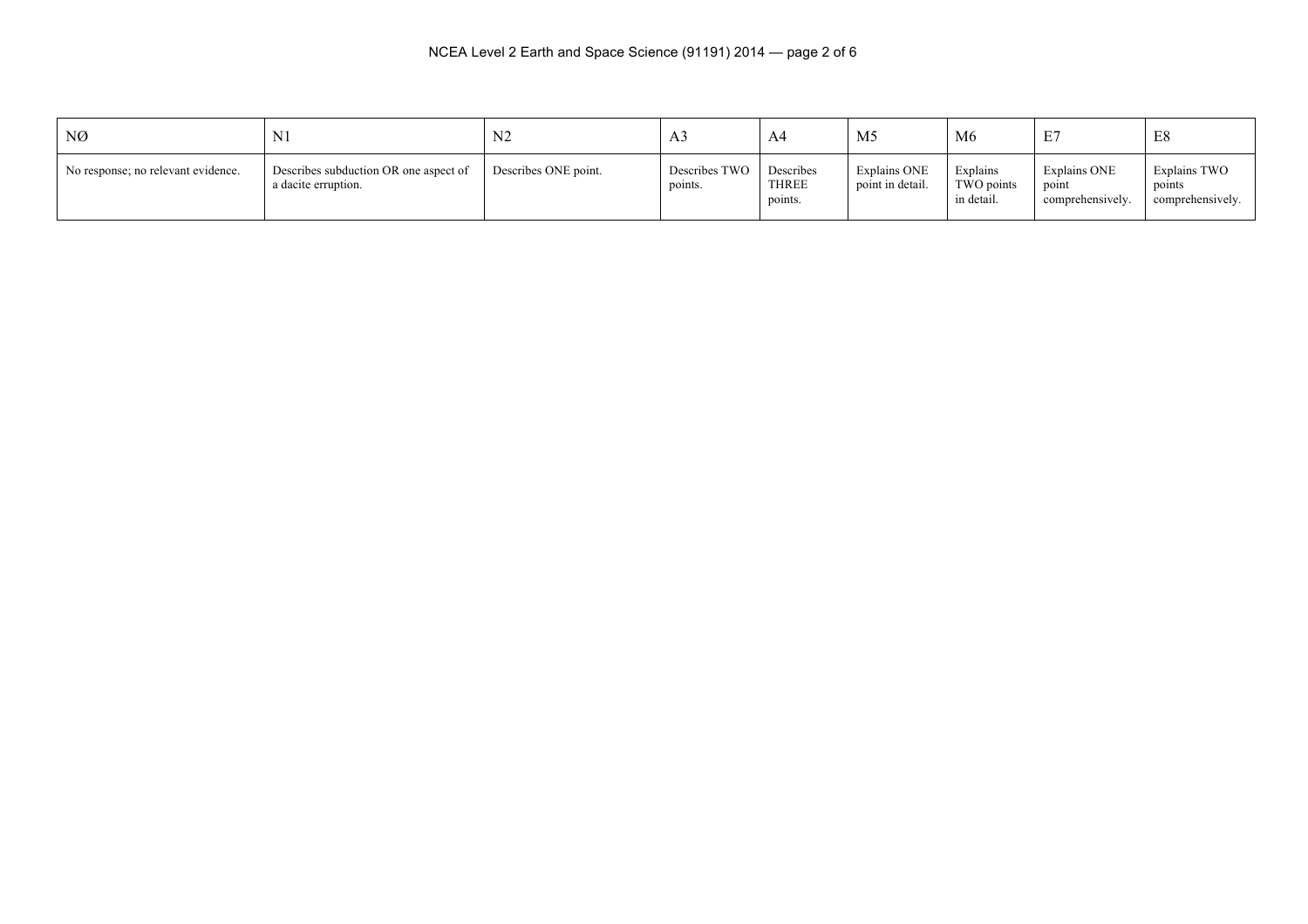| NØ                                 | N <sub>1</sub>                                               | ◝                    | A3                       | A4                                   | M <sub>5</sub>                   | M <sub>6</sub>                       | E7                                        | ⊥∪                                         |
|------------------------------------|--------------------------------------------------------------|----------------------|--------------------------|--------------------------------------|----------------------------------|--------------------------------------|-------------------------------------------|--------------------------------------------|
| No response; no relevant evidence. | Describes subduction OR one aspect of<br>a dacite erruption. | Describes ONE point. | Describes TWO<br>points. | Describes<br><b>THREE</b><br>points. | Explains ONE<br>point in detail. | Explains<br>TWO points<br>in detail. | Explains ONE<br>point<br>comprehensively. | Explains TWO<br>points<br>comprehensively. |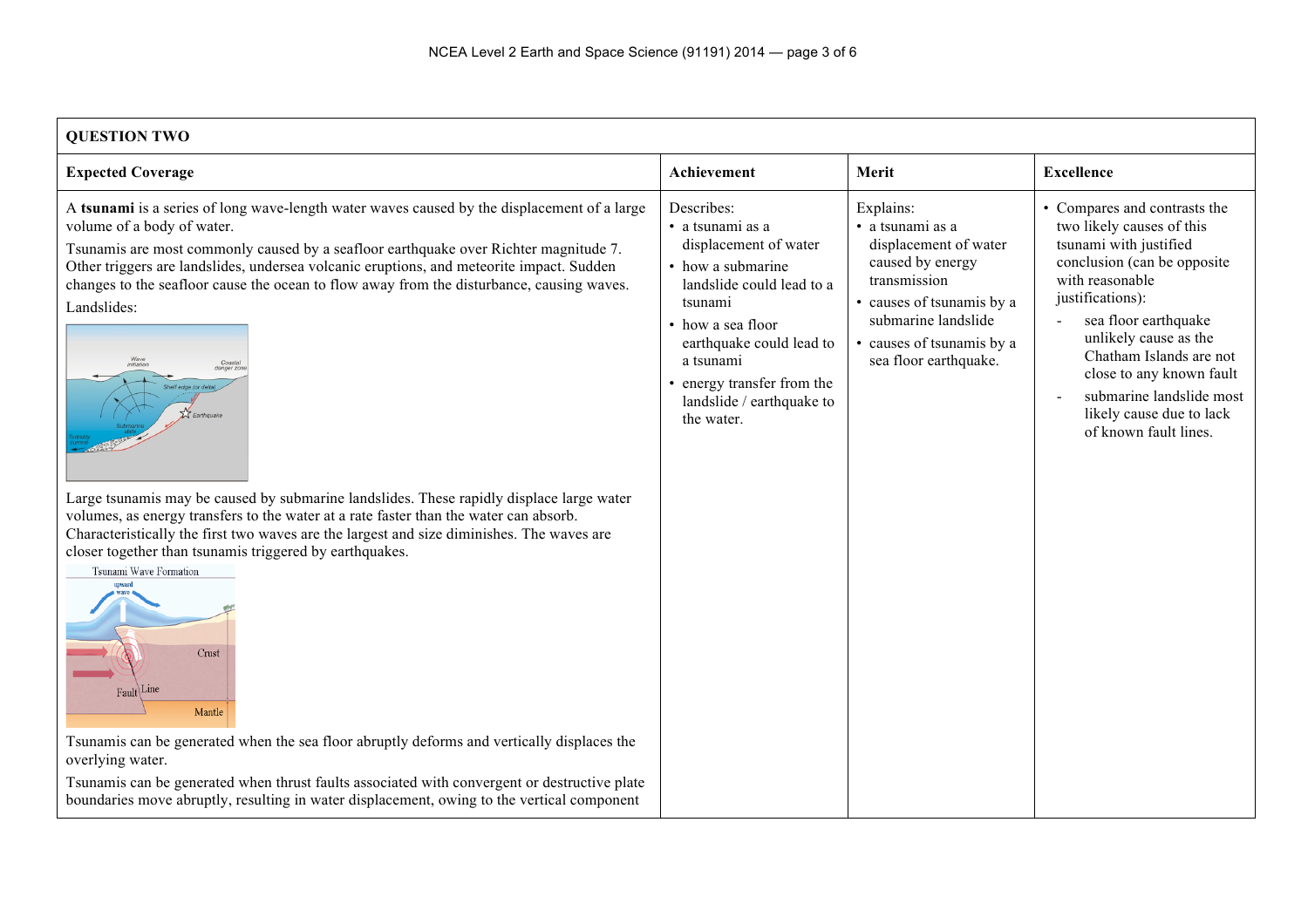| <b>OUESTION TWO</b> |
|---------------------|
|                     |

| <b>Expected Coverage</b>                                                                                                                                                                                                                                                                                                                                                                                                                                                                                                                                                                                                                                                                                                                                                                                                                                                                                                                                                                                                                                                                                                                                                                                                                          | Achievement                                                                                                                                                                                                                                                 | Merit                                                                                                                                                                                              | <b>Excellence</b>                                                                                                                                                                                                                                                                                                                                   |
|---------------------------------------------------------------------------------------------------------------------------------------------------------------------------------------------------------------------------------------------------------------------------------------------------------------------------------------------------------------------------------------------------------------------------------------------------------------------------------------------------------------------------------------------------------------------------------------------------------------------------------------------------------------------------------------------------------------------------------------------------------------------------------------------------------------------------------------------------------------------------------------------------------------------------------------------------------------------------------------------------------------------------------------------------------------------------------------------------------------------------------------------------------------------------------------------------------------------------------------------------|-------------------------------------------------------------------------------------------------------------------------------------------------------------------------------------------------------------------------------------------------------------|----------------------------------------------------------------------------------------------------------------------------------------------------------------------------------------------------|-----------------------------------------------------------------------------------------------------------------------------------------------------------------------------------------------------------------------------------------------------------------------------------------------------------------------------------------------------|
| A tsunami is a series of long wave-length water waves caused by the displacement of a large<br>volume of a body of water.<br>Tsunamis are most commonly caused by a seafloor earthquake over Richter magnitude 7.<br>Other triggers are landslides, undersea volcanic eruptions, and meteorite impact. Sudden<br>changes to the seafloor cause the ocean to flow away from the disturbance, causing waves.<br>Landslides:<br>Coasta<br>initiation<br>Shelf edge (or delt<br>$\overline{\mathbf{z}}$ Earthquake<br>Large tsunamis may be caused by submarine landslides. These rapidly displace large water<br>volumes, as energy transfers to the water at a rate faster than the water can absorb.<br>Characteristically the first two waves are the largest and size diminishes. The waves are<br>closer together than tsunamis triggered by earthquakes.<br>Tsunami Wave Formation<br>Crust<br>Fault <sup>Line</sup><br>Mantle<br>Tsunamis can be generated when the sea floor abruptly deforms and vertically displaces the<br>overlying water.<br>Tsunamis can be generated when thrust faults associated with convergent or destructive plate<br>boundaries move abruptly, resulting in water displacement, owing to the vertical component | Describes:<br>• a tsunami as a<br>displacement of water<br>• how a submarine<br>landslide could lead to a<br>tsunami<br>• how a sea floor<br>earthquake could lead to<br>a tsunami<br>• energy transfer from the<br>landslide / earthquake to<br>the water. | Explains:<br>• a tsunami as a<br>displacement of water<br>caused by energy<br>transmission<br>• causes of tsunamis by a<br>submarine landslide<br>causes of tsunamis by a<br>sea floor earthquake. | • Compares and contrasts the<br>two likely causes of this<br>tsunami with justified<br>conclusion (can be opposite)<br>with reasonable<br>justifications):<br>sea floor earthquake<br>unlikely cause as the<br>Chatham Islands are not<br>close to any known fault<br>submarine landslide most<br>likely cause due to lack<br>of known fault lines. |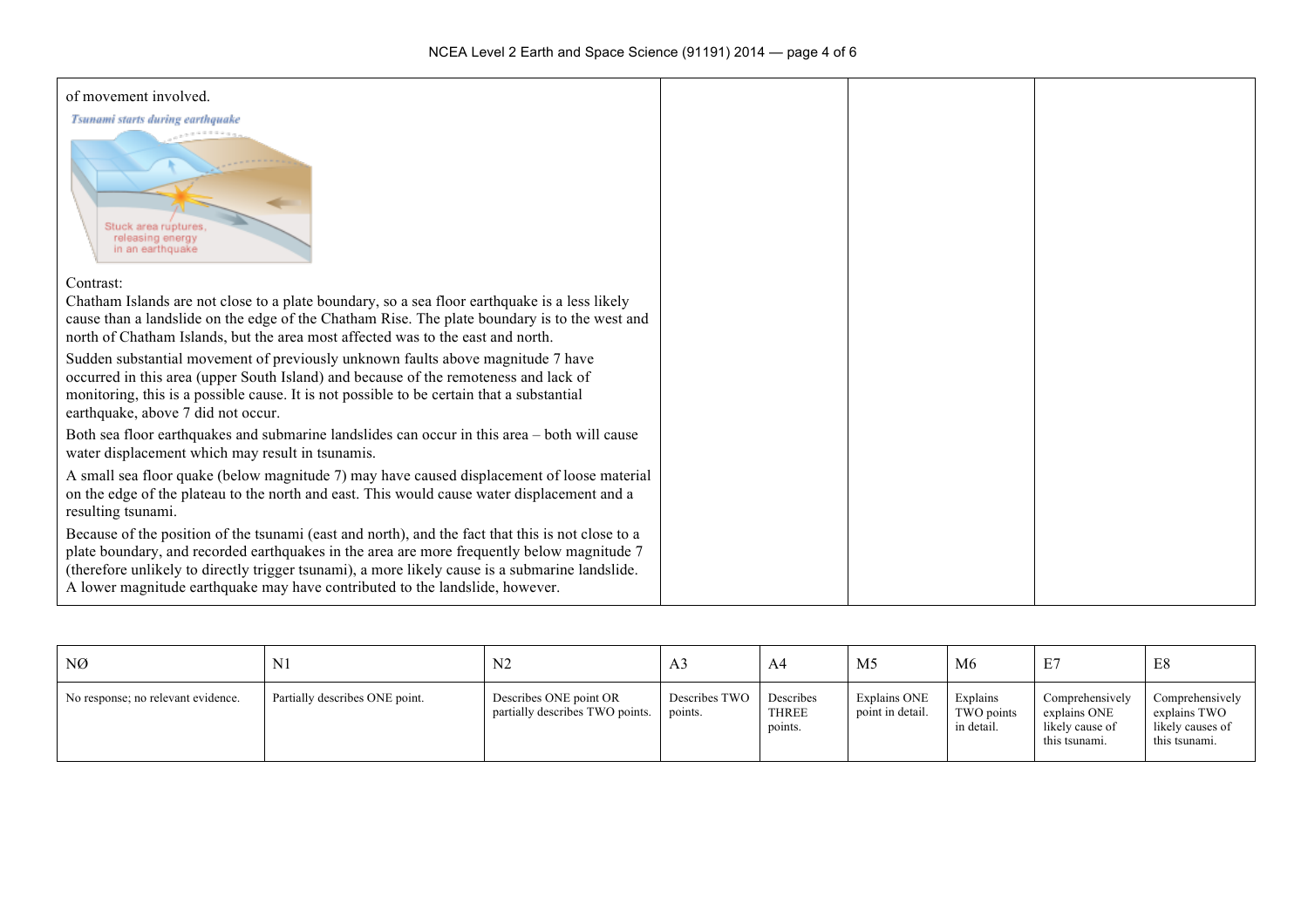| of movement involved.                                                                                                                                                                                                                                                                                                                                                              |  |  |
|------------------------------------------------------------------------------------------------------------------------------------------------------------------------------------------------------------------------------------------------------------------------------------------------------------------------------------------------------------------------------------|--|--|
| Tsunami starts during earthquake                                                                                                                                                                                                                                                                                                                                                   |  |  |
| Stuck area ruptures.<br>releasing energy<br>in an earthquake                                                                                                                                                                                                                                                                                                                       |  |  |
| Contrast:                                                                                                                                                                                                                                                                                                                                                                          |  |  |
| Chatham Islands are not close to a plate boundary, so a sea floor earthquake is a less likely<br>cause than a landslide on the edge of the Chatham Rise. The plate boundary is to the west and<br>north of Chatham Islands, but the area most affected was to the east and north.                                                                                                  |  |  |
| Sudden substantial movement of previously unknown faults above magnitude 7 have<br>occurred in this area (upper South Island) and because of the remoteness and lack of<br>monitoring, this is a possible cause. It is not possible to be certain that a substantial<br>earthquake, above 7 did not occur.                                                                         |  |  |
| Both sea floor earthquakes and submarine landslides can occur in this area - both will cause<br>water displacement which may result in tsunamis.                                                                                                                                                                                                                                   |  |  |
| A small sea floor quake (below magnitude 7) may have caused displacement of loose material<br>on the edge of the plateau to the north and east. This would cause water displacement and a<br>resulting tsunami.                                                                                                                                                                    |  |  |
| Because of the position of the tsunami (east and north), and the fact that this is not close to a<br>plate boundary, and recorded earthquakes in the area are more frequently below magnitude 7<br>(therefore unlikely to directly trigger tsunami), a more likely cause is a submarine landslide.<br>A lower magnitude earthquake may have contributed to the landslide, however. |  |  |

| NØ                                 | ΙNΙ                            | N <sub>2</sub>                                            | A <sub>3</sub>           | A4                                   | M <sub>5</sub>                   | M6                                   | E7                                                                  | E8                                                                   |
|------------------------------------|--------------------------------|-----------------------------------------------------------|--------------------------|--------------------------------------|----------------------------------|--------------------------------------|---------------------------------------------------------------------|----------------------------------------------------------------------|
| No response; no relevant evidence. | Partially describes ONE point. | Describes ONE point OR<br>partially describes TWO points. | Describes TWO<br>points. | Describes<br><b>THREE</b><br>points. | Explains ONE<br>point in detail. | Explains<br>TWO points<br>in detail. | Comprehensively<br>explains ONE<br>likely cause of<br>this tsunami. | Comprehensively<br>explains TWO<br>likely causes of<br>this tsunami. |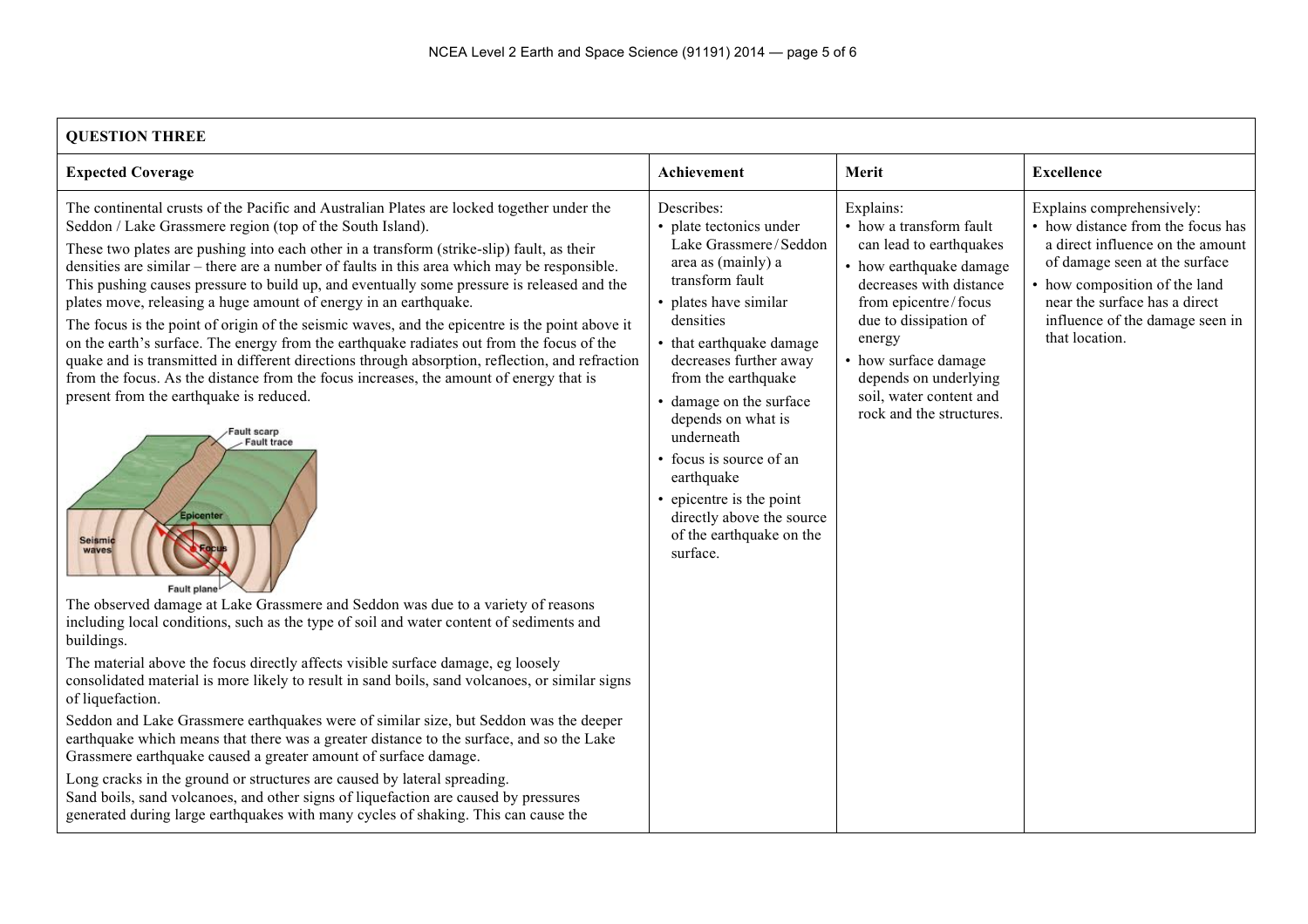| <b>QUESTION THREE</b> |  |
|-----------------------|--|
|                       |  |

| VULSHUN HINEE                                                                                                                                                                                                                                                                                                                                                                                                                                                                                                                                                                                                                                                                                                                                                                                                                                                                                                                                                                                                                                                                                                                                                                                                                                                                                                                                                                                                                                                                                                                                                                                                                                                                                                                                                                                                                                                                                                                                                                   |                                                                                                                                                                                                                                                                                                                                                                                                                                   |                                                                                                                                                                                                                                                                                          |                                                                                                                                                                                                                                                            |
|---------------------------------------------------------------------------------------------------------------------------------------------------------------------------------------------------------------------------------------------------------------------------------------------------------------------------------------------------------------------------------------------------------------------------------------------------------------------------------------------------------------------------------------------------------------------------------------------------------------------------------------------------------------------------------------------------------------------------------------------------------------------------------------------------------------------------------------------------------------------------------------------------------------------------------------------------------------------------------------------------------------------------------------------------------------------------------------------------------------------------------------------------------------------------------------------------------------------------------------------------------------------------------------------------------------------------------------------------------------------------------------------------------------------------------------------------------------------------------------------------------------------------------------------------------------------------------------------------------------------------------------------------------------------------------------------------------------------------------------------------------------------------------------------------------------------------------------------------------------------------------------------------------------------------------------------------------------------------------|-----------------------------------------------------------------------------------------------------------------------------------------------------------------------------------------------------------------------------------------------------------------------------------------------------------------------------------------------------------------------------------------------------------------------------------|------------------------------------------------------------------------------------------------------------------------------------------------------------------------------------------------------------------------------------------------------------------------------------------|------------------------------------------------------------------------------------------------------------------------------------------------------------------------------------------------------------------------------------------------------------|
| <b>Expected Coverage</b>                                                                                                                                                                                                                                                                                                                                                                                                                                                                                                                                                                                                                                                                                                                                                                                                                                                                                                                                                                                                                                                                                                                                                                                                                                                                                                                                                                                                                                                                                                                                                                                                                                                                                                                                                                                                                                                                                                                                                        | Achievement                                                                                                                                                                                                                                                                                                                                                                                                                       | Merit                                                                                                                                                                                                                                                                                    | <b>Excellence</b>                                                                                                                                                                                                                                          |
| The continental crusts of the Pacific and Australian Plates are locked together under the<br>Seddon / Lake Grassmere region (top of the South Island).<br>These two plates are pushing into each other in a transform (strike-slip) fault, as their<br>densities are similar – there are a number of faults in this area which may be responsible.<br>This pushing causes pressure to build up, and eventually some pressure is released and the<br>plates move, releasing a huge amount of energy in an earthquake.<br>The focus is the point of origin of the seismic waves, and the epicentre is the point above it<br>on the earth's surface. The energy from the earthquake radiates out from the focus of the<br>quake and is transmitted in different directions through absorption, reflection, and refraction<br>from the focus. As the distance from the focus increases, the amount of energy that is<br>present from the earthquake is reduced.<br>Fault scarp<br><b>Fault trace</b><br>Epicenter<br><b>Seismic</b><br>waves<br>Fault plane<br>The observed damage at Lake Grassmere and Seddon was due to a variety of reasons<br>including local conditions, such as the type of soil and water content of sediments and<br>buildings.<br>The material above the focus directly affects visible surface damage, eg loosely<br>consolidated material is more likely to result in sand boils, sand volcanoes, or similar signs<br>of liquefaction.<br>Seddon and Lake Grassmere earthquakes were of similar size, but Seddon was the deeper<br>earthquake which means that there was a greater distance to the surface, and so the Lake<br>Grassmere earthquake caused a greater amount of surface damage.<br>Long cracks in the ground or structures are caused by lateral spreading.<br>Sand boils, sand volcanoes, and other signs of liquefaction are caused by pressures<br>generated during large earthquakes with many cycles of shaking. This can cause the | Describes:<br>• plate tectonics under<br>Lake Grassmere/Seddon<br>area as (mainly) a<br>transform fault<br>• plates have similar<br>densities<br>that earthquake damage<br>decreases further away<br>from the earthquake<br>• damage on the surface<br>depends on what is<br>underneath<br>• focus is source of an<br>earthquake<br>• epicentre is the point<br>directly above the source<br>of the earthquake on the<br>surface. | Explains:<br>• how a transform fault<br>can lead to earthquakes<br>• how earthquake damage<br>decreases with distance<br>from epicentre/focus<br>due to dissipation of<br>energy<br>• how surface damage<br>depends on underlying<br>soil, water content and<br>rock and the structures. | Explains comprehensively:<br>• how distance from the focus has<br>a direct influence on the amount<br>of damage seen at the surface<br>• how composition of the land<br>near the surface has a direct<br>influence of the damage seen in<br>that location. |